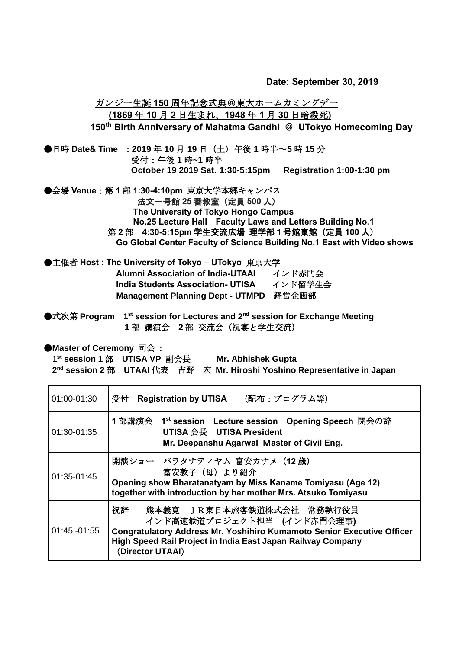**Date: September 30, 2019**

 ガンジー生誕 **150** 周年記念式典@東大ホームカミングデー **(1869** 年 **10** 月 **2** 日生まれ、**1948** 年 **1** 月 **30** 日暗殺死**) 150th Birth Anniversary of Mahatma Gandhi** @ **UTokyo Homecoming Day** ●日時 **Date& Time : 2019** 年 **10** 月 **19** 日(土)午後 **1** 時半~**5** 時 **15** 分 受付:午後 **1** 時**~1** 時半 **October 19 2019 Sat. 1:30-5:15pm Registration 1:00-1:30 pm** ●会場 **Venue**:第 **1** 部 **1:30-4:10pm** 東京大学本郷キャンパス 法文一号館 **25** 番教室(定員 **500** 人) **The University of Tokyo Hongo Campus No.25 Lecture Hall Faculty Laws and Letters Building No.1**  第 **2** 部 **4:30-5:15pm** 学生交流広場 理学部1号館東館(定員 **100** 人) **Go Global Center Faculty of Science Building No.1 East with Video shows**

●主催者 **Host : The University of Tokyo – UTokyo** 東京大学 **Alumni Association of India-UTAAI インド赤門会 India Students Association- UTISA** インド留学生会 **Management Planning Dept - UTMPD** 経営企画部

●式次第 Program 1<sup>st</sup> session for Lectures and 2<sup>nd</sup> session for Exchange Meeting **1** 部 講演会 **2** 部 交流会(祝宴と学生交流)

●**Master of Ceremony** 司会 :

**1 st session 1** 部 **UTISA VP** 副会長 **Mr. Abhishek Gupta 2 nd session 2** 部 **UTAAI** 代表 吉野 宏 **Mr. Hiroshi Yoshino Representative in Japan** 

| 01:00-01:30     | (配布:プログラム等)<br>受付 Registration by UTISA                                                                                                                                                                                    |
|-----------------|----------------------------------------------------------------------------------------------------------------------------------------------------------------------------------------------------------------------------|
| 01:30-01:35     | 1 部講演会 1 <sup>st</sup> session Lecture session Opening Speech 開会の辞<br>UTISA 会長 UTISA President<br>Mr. Deepanshu Agarwal Master of Civil Eng.                                                                               |
| 01:35-01:45     | 開演ショー バラタナティヤム 富安カナメ (12歳)<br>富安敦子 (母) より紹介<br>Opening show Bharatanatyam by Miss Kaname Tomiyasu (Age 12)<br>together with introduction by her mother Mrs. Atsuko Tomiyasu                                                |
| $01:45 - 01:55$ | 祝辞<br>熊本義寛 IR東日本旅客鉄道株式会社 常務執行役員<br>インド高速鉄道プロジェクト担当 (インド赤門会理事)<br>Congratulatory Address Mr. Yoshihiro Kumamoto Senior Executive Officer<br>High Speed Rail Project in India East Japan Railway Company<br>(Director UTAAI) |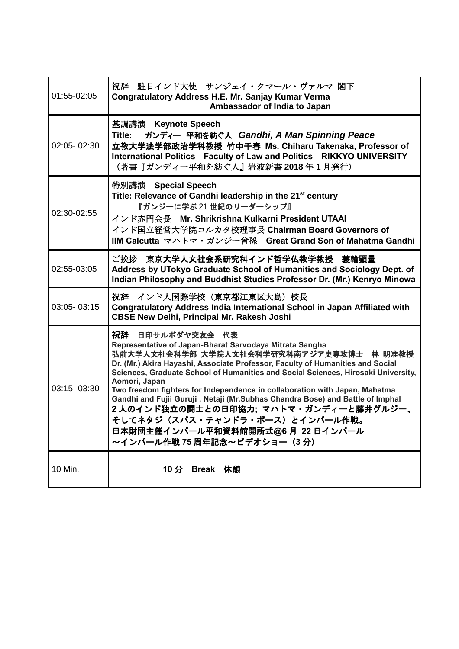| 01:55-02:05 | 祝辞 駐日インド大使 サンジェイ・クマール・ヴァルマ 閣下<br>Congratulatory Address H.E. Mr. Sanjay Kumar Verma<br>Ambassador of India to Japan                                                                                                                                                                                                                                                                                                                                                                                                                                                                                                           |
|-------------|-------------------------------------------------------------------------------------------------------------------------------------------------------------------------------------------------------------------------------------------------------------------------------------------------------------------------------------------------------------------------------------------------------------------------------------------------------------------------------------------------------------------------------------------------------------------------------------------------------------------------------|
| 02:05-02:30 | 基調講演 Keynote Speech<br>ガンディー 平和を紡ぐ人 Gandhi, A Man Spinning Peace<br>Title:<br>立教大学法学部政治学科教授 竹中千春 Ms. Chiharu Takenaka, Professor of<br>International Politics Faculty of Law and Politics RIKKYO UNIVERSITY<br>(著書『ガンディー平和を紡ぐ人』岩波新書 2018年1月発行)                                                                                                                                                                                                                                                                                                                                                                                |
| 02:30-02:55 | 特別講演 Special Speech<br>Title: Relevance of Gandhi leadership in the 21 <sup>st</sup> century<br>『ガンジーに学ぶ 21 世紀のリーダーシップ』<br>インド赤門会長 Mr. Shrikrishna Kulkarni President UTAAI<br>インド国立経営大学院コルカタ校理事長 Chairman Board Governors of<br>IIM Calcutta マハトマ・ガンジー曾孫 Great Grand Son of Mahatma Gandhi                                                                                                                                                                                                                                                                                                                                   |
| 02:55-03:05 | ご挨拶 東京大学人文社会系研究科インド哲学仏教学教授 蓑輪顕量<br>Address by UTokyo Graduate School of Humanities and Sociology Dept. of<br>Indian Philosophy and Buddhist Studies Professor Dr. (Mr.) Kenryo Minowa                                                                                                                                                                                                                                                                                                                                                                                                                                         |
| 03:05-03:15 | 祝辞 インド人国際学校 (東京都江東区大島) 校長<br>Congratulatory Address India International School in Japan Affiliated with<br><b>CBSE New Delhi, Principal Mr. Rakesh Joshi</b>                                                                                                                                                                                                                                                                                                                                                                                                                                                                  |
| 03:15-03:30 | 祝辞 日印サルボダヤ交友会 代表<br>Representative of Japan-Bharat Sarvodaya Mitrata Sangha<br>弘前大学人文社会科学部 大学院人文社会科学研究科南アジア史専攻博士 林 明准教授<br>Dr. (Mr.) Akira Hayashi, Associate Professor, Faculty of Humanities and Social<br>Sciences, Graduate School of Humanities and Social Sciences, Hirosaki University,<br>Aomori, Japan<br>Two freedom fighters for Independence in collaboration with Japan, Mahatma<br>Gandhi and Fujii Guruji, Netaji (Mr.Subhas Chandra Bose) and Battle of Imphal<br>2 人のインド独立の闘士との日印協力; マハトマ・ガンディーと藤井グルジー、<br>そしてネタジ(スバス・チャンドラ・ボース)とインパール作戦。<br>日本財団主催インパール平和資料館開所式@6月 22日インパール<br>~インパール作戦 75 周年記念~ビデオショー (3分) |
| 10 Min.     | 10 分<br>Break 休憩                                                                                                                                                                                                                                                                                                                                                                                                                                                                                                                                                                                                              |